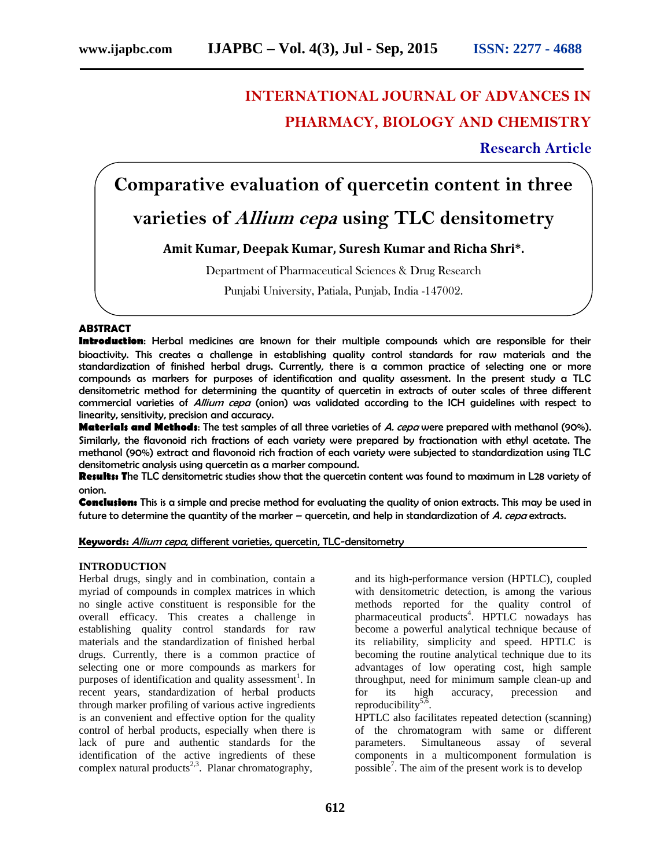# **INTERNATIONAL JOURNAL OF ADVANCES IN PHARMACY, BIOLOGY AND CHEMISTRY**

**Research Article**

# **Comparative evaluation of quercetin content in three**

# **varieties of** *Allium cepa* **using TLC densitometry**

# **Amit Kumar, Deepak Kumar, Suresh Kumar and Richa Shri\*.**

Department of Pharmaceutical Sciences & Drug Research

Punjabi University, Patiala, Punjab, India -147002.

# **ABSTRACT**

**Introduction**: Herbal medicines are known for their multiple compounds which are responsible for their bioactivity. This creates a challenge in establishing quality control standards for raw materials and the standardization of finished herbal drugs. Currently, there is a common practice of selecting one or more compounds as markers for purposes of identification and quality assessment. In the present study a TLC densitometric method for determining the quantity of quercetin in extracts of outer scales of three different commercial varieties of *Allium cepa* (onion) was validated according to the ICH guidelines with respect to linearity, sensitivity, precision and accuracy.

**Materials and Methods**: The test samples of all three varieties of *A. cepa* were prepared with methanol (90%). Similarly, the flavonoid rich fractions of each variety were prepared by fractionation with ethyl acetate. The methanol (90%) extract and flavonoid rich fraction of each variety were subjected to standardization using TLC densitometric analysis using quercetin as a marker compound.

**Results: T**he TLC densitometric studies show that the quercetin content was found to maximum in L28 variety of onion.

**Conclusion:** This is a simple and precise method for evaluating the quality of onion extracts. This may be used in future to determine the quantity of the marker – quercetin, and help in standardization of *A. cepa* extracts.

# **Keywords:** *Allium cepa*, different varieties, quercetin, TLC-densitometry

# **INTRODUCTION**

Herbal drugs, singly and in combination, contain a myriad of compounds in complex matrices in which no single active constituent is responsible for the overall efficacy. This creates a challenge in establishing quality control standards for raw materials and the standardization of finished herbal drugs. Currently, there is a common practice of selecting one or more compounds as markers for purposes of identification and quality assessment<sup>1</sup>. In recent years, standardization of herbal products through marker profiling of various active ingredients is an convenient and effective option for the quality control of herbal products, especially when there is lack of pure and authentic standards for the identification of the active ingredients of these complex natural products<sup>2,3</sup>. Planar chromatography,

and its high-performance version (HPTLC), coupled with densitometric detection, is among the various methods reported for the quality control of pharmaceutical products<sup>4</sup>. HPTLC nowadays has become a powerful analytical technique because of its reliability, simplicity and speed. HPTLC is becoming the routine analytical technique due to its advantages of low operating cost, high sample throughput, need for minimum sample clean-up and for its high accuracy, precession and reproducibility<sup>5,6</sup>.

HPTLC also facilitates repeated detection (scanning) of the chromatogram with same or different parameters. Simultaneous assay of several components in a multicomponent formulation is possible<sup>7</sup>. The aim of the present work is to develop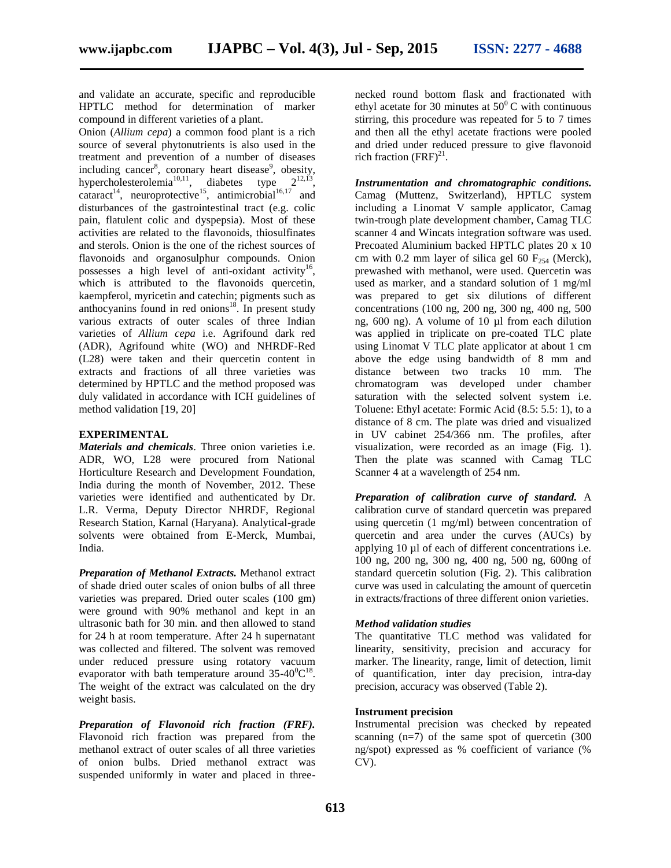and validate an accurate, specific and reproducible HPTLC method for determination of marker compound in different varieties of a plant.

Onion (*Allium cepa*) a common food plant is a rich source of several phytonutrients is also used in the treatment and prevention of a number of diseases including cancer<sup>8</sup>, coronary heart disease<sup>9</sup>, obesity, hypercholesterolemia<sup>10,11</sup>, diabetes type  $2^{12,13}$ , cataract<sup>14</sup>, neuroprotective<sup>15</sup>, antimicrobial<sup>16,17</sup> and disturbances of the gastrointestinal tract (e.g. colic pain, flatulent colic and dyspepsia). Most of these activities are related to the flavonoids, thiosulfinates and sterols. Onion is the one of the richest sources of flavonoids and organosulphur compounds. Onion possesses a high level of anti-oxidant activity<sup>16</sup>, which is attributed to the flavonoids quercetin, kaempferol, myricetin and catechin; pigments such as anthocyanins found in red onions $18$ . In present study various extracts of outer scales of three Indian varieties of *Allium cepa* i.e. Agrifound dark red (ADR), Agrifound white (WO) and NHRDF-Red (L28) were taken and their quercetin content in extracts and fractions of all three varieties was determined by HPTLC and the method proposed was duly validated in accordance with ICH guidelines of method validation [19, 20]

# **EXPERIMENTAL**

*Materials and chemicals*. Three onion varieties i.e. ADR, WO, L28 were procured from National Horticulture Research and Development Foundation, India during the month of November, 2012. These varieties were identified and authenticated by Dr. L.R. Verma, Deputy Director NHRDF, Regional Research Station, Karnal (Haryana). Analytical-grade solvents were obtained from E-Merck, Mumbai, India.

*Preparation of Methanol Extracts.* Methanol extract of shade dried outer scales of onion bulbs of all three varieties was prepared. Dried outer scales (100 gm) were ground with 90% methanol and kept in an ultrasonic bath for 30 min. and then allowed to stand for 24 h at room temperature. After 24 h supernatant was collected and filtered. The solvent was removed under reduced pressure using rotatory vacuum evaporator with bath temperature around  $35{\text -}40^0{\text C}^{18}$ . The weight of the extract was calculated on the dry weight basis.

*Preparation of Flavonoid rich fraction (FRF).* Flavonoid rich fraction was prepared from the methanol extract of outer scales of all three varieties of onion bulbs. Dried methanol extract was suspended uniformly in water and placed in threenecked round bottom flask and fractionated with ethyl acetate for 30 minutes at  $50^{\circ}$ C with continuous stirring, this procedure was repeated for 5 to 7 times and then all the ethyl acetate fractions were pooled and dried under reduced pressure to give flavonoid rich fraction  $(FRF)^{21}$ .

*Instrumentation and chromatographic conditions.* Camag (Muttenz, Switzerland), HPTLC system including a Linomat V sample applicator, Camag twin-trough plate development chamber, Camag TLC scanner 4 and Wincats integration software was used. Precoated Aluminium backed HPTLC plates 20 x 10 cm with 0.2 mm layer of silica gel 60  $F<sub>254</sub>$  (Merck), prewashed with methanol, were used. Quercetin was used as marker, and a standard solution of 1 mg/ml was prepared to get six dilutions of different concentrations (100 ng, 200 ng, 300 ng, 400 ng, 500 ng, 600 ng). A volume of 10 µl from each dilution was applied in triplicate on pre-coated TLC plate using Linomat V TLC plate applicator at about 1 cm above the edge using bandwidth of 8 mm and distance between two tracks 10 mm. The chromatogram was developed under chamber saturation with the selected solvent system i.e. Toluene: Ethyl acetate: Formic Acid (8.5: 5.5: 1), to a distance of 8 cm. The plate was dried and visualized in UV cabinet 254/366 nm. The profiles, after visualization, were recorded as an image (Fig. 1). Then the plate was scanned with Camag TLC Scanner 4 at a wavelength of 254 nm.

*Preparation of calibration curve of standard.* A calibration curve of standard quercetin was prepared using quercetin (1 mg/ml) between concentration of quercetin and area under the curves (AUCs) by applying 10 µl of each of different concentrations i.e. 100 ng, 200 ng, 300 ng, 400 ng, 500 ng, 600ng of standard quercetin solution (Fig. 2). This calibration curve was used in calculating the amount of quercetin in extracts/fractions of three different onion varieties.

#### *Method validation studies*

The quantitative TLC method was validated for linearity, sensitivity, precision and accuracy for marker. The linearity, range, limit of detection, limit of quantification, inter day precision, intra-day precision, accuracy was observed (Table 2).

# **Instrument precision**

Instrumental precision was checked by repeated scanning  $(n=7)$  of the same spot of quercetin  $(300)$ ng/spot) expressed as % coefficient of variance (%  $CV$ ).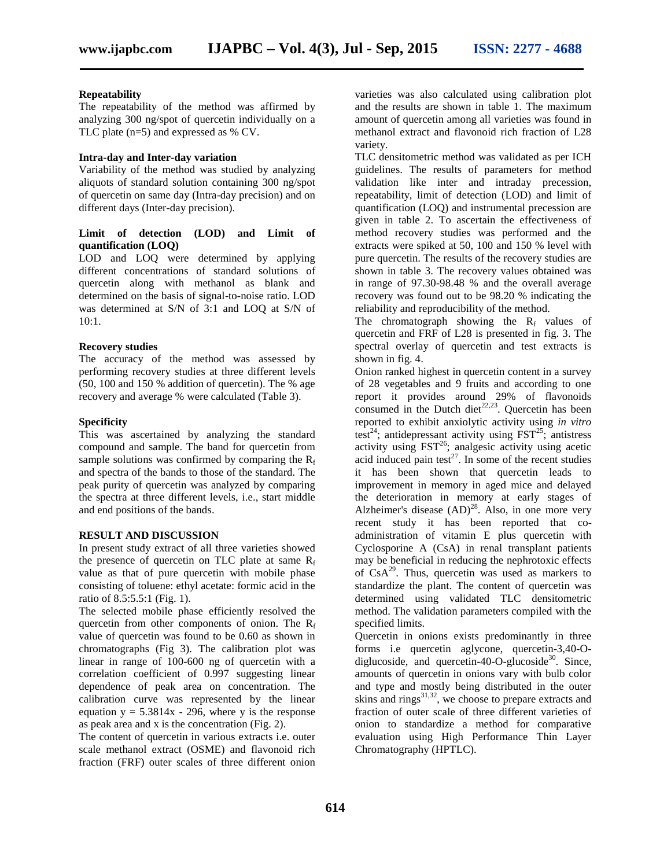#### **Repeatability**

The repeatability of the method was affirmed by analyzing 300 ng/spot of quercetin individually on a TLC plate (n=5) and expressed as % CV.

# **Intra-day and Inter-day variation**

Variability of the method was studied by analyzing aliquots of standard solution containing 300 ng/spot of quercetin on same day (Intra-day precision) and on different days (Inter-day precision).

# **Limit of detection (LOD) and Limit of quantification (LOQ)**

LOD and LOQ were determined by applying different concentrations of standard solutions of quercetin along with methanol as blank and determined on the basis of signal-to-noise ratio. LOD was determined at S/N of 3:1 and LOQ at S/N of 10:1.

# **Recovery studies**

The accuracy of the method was assessed by performing recovery studies at three different levels (50, 100 and 150 % addition of quercetin). The % age recovery and average % were calculated (Table 3).

# **Specificity**

This was ascertained by analyzing the standard compound and sample. The band for quercetin from sample solutions was confirmed by comparing the  $R_f$ and spectra of the bands to those of the standard. The peak purity of quercetin was analyzed by comparing the spectra at three different levels, i.e., start middle and end positions of the bands.

# **RESULT AND DISCUSSION**

In present study extract of all three varieties showed the presence of quercetin on TLC plate at same  $R_f$ value as that of pure quercetin with mobile phase consisting of toluene: ethyl acetate: formic acid in the ratio of 8.5:5.5:1 (Fig. 1).

The selected mobile phase efficiently resolved the quercetin from other components of onion. The  $R_f$ value of quercetin was found to be 0.60 as shown in chromatographs (Fig 3). The calibration plot was linear in range of 100-600 ng of quercetin with a correlation coefficient of 0.997 suggesting linear dependence of peak area on concentration. The calibration curve was represented by the linear equation  $y = 5.3814x - 296$ , where y is the response as peak area and x is the concentration (Fig. 2).

The content of quercetin in various extracts i.e. outer scale methanol extract (OSME) and flavonoid rich fraction (FRF) outer scales of three different onion varieties was also calculated using calibration plot and the results are shown in table 1. The maximum amount of quercetin among all varieties was found in methanol extract and flavonoid rich fraction of L28 variety.

TLC densitometric method was validated as per ICH guidelines. The results of parameters for method validation like inter and intraday precession, repeatability, limit of detection (LOD) and limit of quantification (LOQ) and instrumental precession are given in table 2. To ascertain the effectiveness of method recovery studies was performed and the extracts were spiked at 50, 100 and 150 % level with pure quercetin. The results of the recovery studies are shown in table 3. The recovery values obtained was in range of 97.30-98.48 % and the overall average recovery was found out to be 98.20 % indicating the reliability and reproducibility of the method.

The chromatograph showing the  $R_f$  values of quercetin and FRF of L28 is presented in fig. 3. The spectral overlay of quercetin and test extracts is shown in fig. 4.

Onion ranked highest in quercetin content in a survey of 28 vegetables and 9 fruits and according to one report it provides around 29% of flavonoids consumed in the Dutch diet<sup>22,23</sup>. Quercetin has been reported to exhibit anxiolytic activity using *in vitro* test<sup>24</sup>; antidepressant activity using  $\overline{FST}^{25}$ ; antistress activity using  $\text{FST}^{26}$ ; analgesic activity using acetic acid induced pain test<sup>27</sup>. In some of the recent studies it has been shown that quercetin leads to improvement in memory in aged mice and delayed the deterioration in memory at early stages of Alzheimer's disease  $(AD)^{28}$ . Also, in one more very recent study it has been reported that co administration of vitamin E plus quercetin with Cyclosporine A (CsA) in renal transplant patients may be beneficial in reducing the nephrotoxic effects of  $CsA<sup>29</sup>$ . Thus, quercetin was used as markers to standardize the plant. The content of quercetin was determined using validated TLC densitometric method. The validation parameters compiled with the specified limits.

Quercetin in onions exists predominantly in three forms i.e quercetin aglycone, quercetin-3,40-O diglucoside, and quercetin-40-O-glucoside<sup>30</sup>. Since, amounts of quercetin in onions vary with bulb color and type and mostly being distributed in the outer skins and rings $^{31,32}$ , we choose to prepare extracts and fraction of outer scale of three different varieties of onion to standardize a method for comparative evaluation using High Performance Thin Layer Chromatography (HPTLC).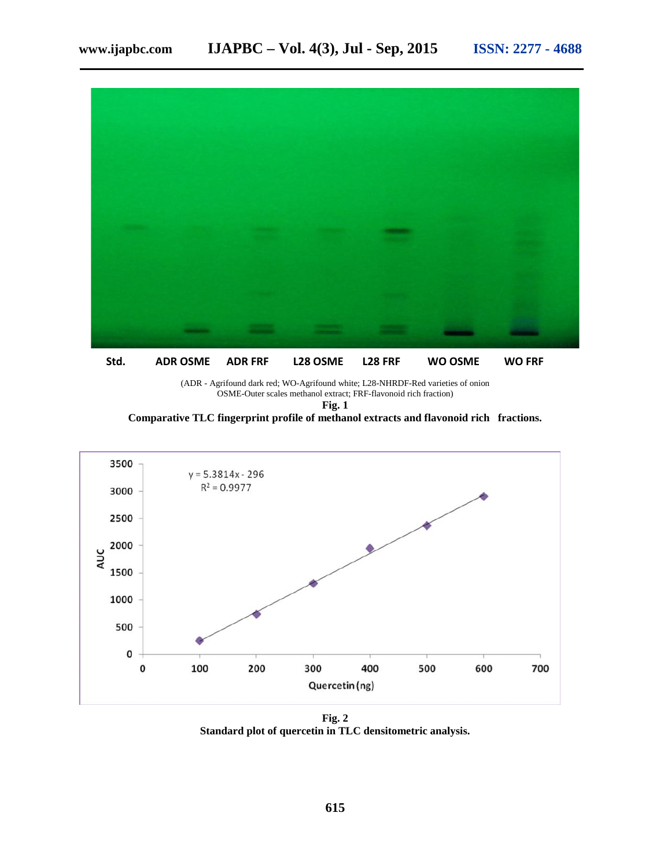

**Std. ADR OSME ADR FRF L28 OSME L28 FRF WO OSME WO FRF**

(ADR - Agrifound dark red; WO-Agrifound white; L28-NHRDF-Red varieties of onion OSME-Outer scales methanol extract; FRF-flavonoid rich fraction)

**Fig. 1**

**Comparative TLC fingerprint profile of methanol extracts and flavonoid rich fractions.**



**Fig. 2 Standard plot of quercetin in TLC densitometric analysis.**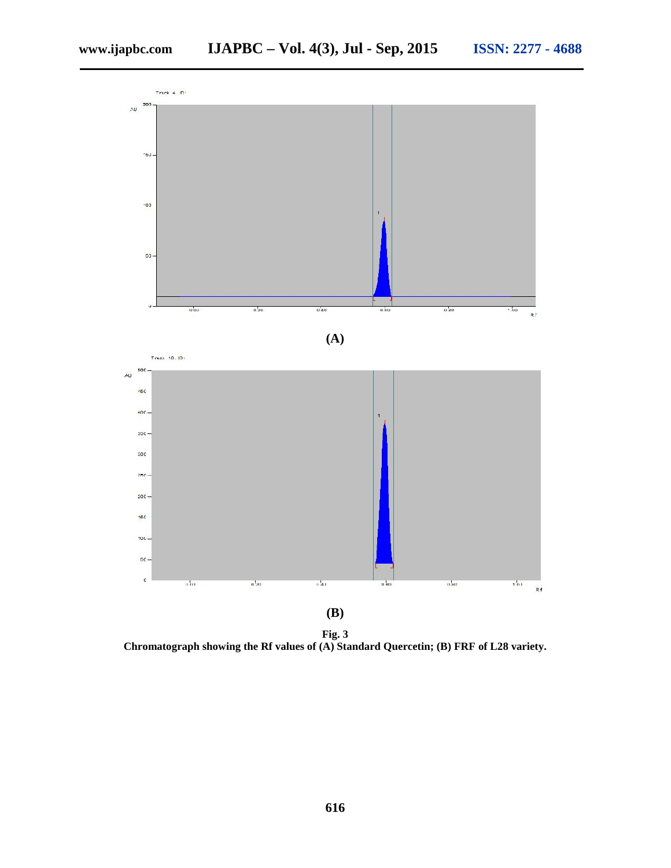

**Fig. 3 Chromatograph showing the Rf values of (A) Standard Quercetin; (B) FRF of L28 variety.**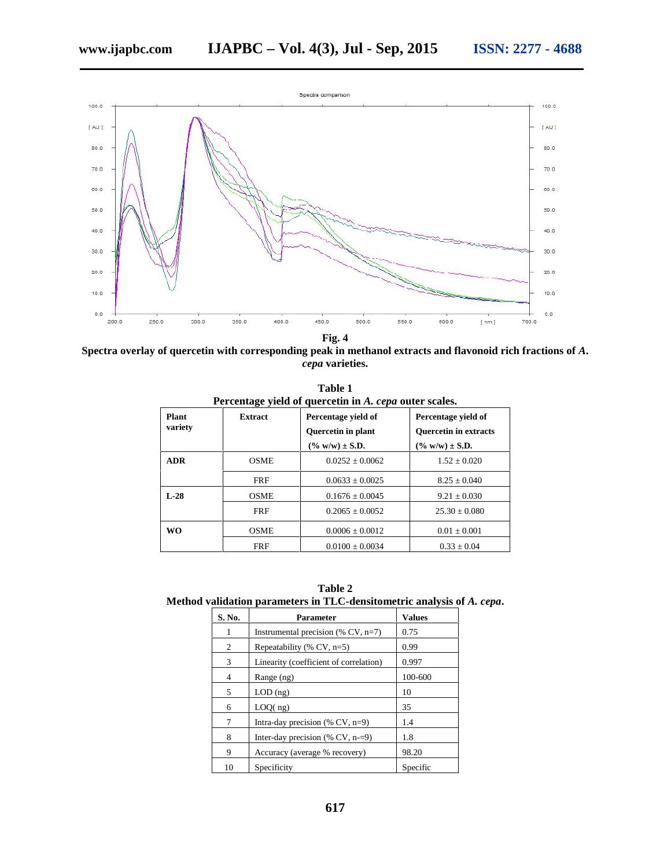

**Fig. 4**

**Spectra overlay of quercetin with corresponding peak in methanol extracts and flavonoid rich fractions of** *A***.** *cepa* **varieties.**

| Table 1<br>Percentage yield of quercetin in A. cepa outer scales. |                |                                                                  |                                                                            |  |  |  |  |
|-------------------------------------------------------------------|----------------|------------------------------------------------------------------|----------------------------------------------------------------------------|--|--|--|--|
| Plant<br>variety                                                  | <b>Extract</b> | Percentage yield of<br>Quercetin in plant<br>$(\% w/w) \pm S.D.$ | Percentage yield of<br><b>Ouercetin in extracts</b><br>$(\% w/w) \pm S.D.$ |  |  |  |  |
| <b>ADR</b>                                                        | <b>OSME</b>    | $0.0252 + 0.0062$                                                | $1.52 + 0.020$                                                             |  |  |  |  |
|                                                                   | <b>FRF</b>     | $0.0633 \pm 0.0025$                                              | $8.25 \pm 0.040$                                                           |  |  |  |  |
| $L-28$                                                            | <b>OSME</b>    | $0.1676 \pm 0.0045$                                              | $9.21 \pm 0.030$                                                           |  |  |  |  |
|                                                                   | <b>FRF</b>     | $0.2065 + 0.0052$                                                | $25.30 + 0.080$                                                            |  |  |  |  |
| <b>WO</b>                                                         | <b>OSME</b>    | $0.0006 + 0.0012$                                                | $0.01 + 0.001$                                                             |  |  |  |  |
|                                                                   | <b>FRF</b>     | $0.0100 \pm 0.0034$                                              | $0.33 \pm 0.04$                                                            |  |  |  |  |

**Table 2 Method validation parameters in TLC-densitometric analysis of** *A. cepa***.**

| S. No. | Parameter                              | <b>Values</b> |  |
|--------|----------------------------------------|---------------|--|
| 1      | Instrumental precision $(\%$ CV, n=7)  | 0.75          |  |
| 2      | Repeatability $(\%$ CV, n=5)           | 0.99          |  |
| 3      | Linearity (coefficient of correlation) | 0.997         |  |
| 4      | Range (ng)                             | 100-600       |  |
| 5      | $LOD$ (ng)                             | 10            |  |
| 6      | LOQ(ng)                                | 35            |  |
| 7      | Intra-day precision $(\%$ CV, n=9)     | 1.4           |  |
| 8      | Inter-day precision $(\%$ CV, n-=9)    | 1.8           |  |
| 9      | Accuracy (average % recovery)          | 98.20         |  |
| 10     | Specificity                            | Specific      |  |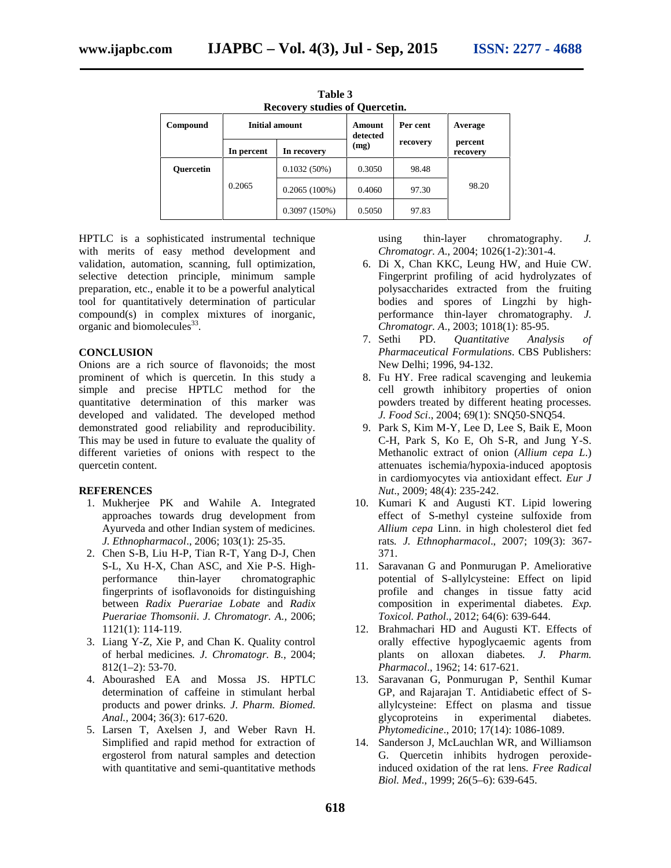| <b>Recovery studies of Quercetin.</b> |                |                 |                    |          |                     |  |  |  |
|---------------------------------------|----------------|-----------------|--------------------|----------|---------------------|--|--|--|
| Compound                              | Initial amount |                 | Amount<br>detected | Per cent | Average             |  |  |  |
|                                       | In percent     | In recovery     | (mg)               | recovery | percent<br>recovery |  |  |  |
| <b>Ouercetin</b>                      | 0.2065         | 0.1032(50%)     | 0.3050             | 98.48    | 98.20               |  |  |  |
|                                       |                | $0.2065(100\%)$ | 0.4060             | 97.30    |                     |  |  |  |
|                                       |                | $0.3097(150\%)$ | 0.5050             | 97.83    |                     |  |  |  |

**Table 3**

HPTLC is a sophisticated instrumental technique with merits of easy method development and validation, automation, scanning, full optimization, selective detection principle, minimum sample preparation, etc., enable it to be a powerful analytical tool for quantitatively determination of particular compound(s) in complex mixtures of inorganic, organic and biomolecules<sup>33</sup>.

# **CONCLUSION**

Onions are a rich source of flavonoids; the most prominent of which is quercetin. In this study a simple and precise HPTLC method for the quantitative determination of this marker was developed and validated. The developed method demonstrated good reliability and reproducibility. This may be used in future to evaluate the quality of different varieties of onions with respect to the quercetin content.

# **REFERENCES**

- 1. Mukherjee PK and Wahile A. Integrated approaches towards drug development from Ayurveda and other Indian system of medicines*. J. Ethnopharmacol*., 2006; 103(1): 25-35.
- 2. Chen S-B, Liu H-P, Tian R-T, Yang D-J, Chen S-L, Xu H-X, Chan ASC, and Xie P-S. High performance thin-layer chromatographic fingerprints of isoflavonoids for distinguishing between *Radix Puerariae Lobate* and *Radix Puerariae Thomsonii*. *J. Chromatogr. A.,* 2006; 1121(1): 114-119.
- 3. Liang Y-Z, Xie P, and Chan K. Quality control of herbal medicines*. J. Chromatogr. B*., 2004; 812(1–2): 53-70.
- 4. Abourashed EA and Mossa JS. HPTLC determination of caffeine in stimulant herbal products and power drinks*. J. Pharm. Biomed. Anal.,* 2004; 36(3): 617-620.
- 5. Larsen T, Axelsen J, and Weber Ravn H. Simplified and rapid method for extraction of ergosterol from natural samples and detection with quantitative and semi-quantitative methods

using thin-layer chromatography. *J. Chromatogr. A*., 2004; 1026(1-2):301-4.

- 6. Di X, Chan KKC, Leung HW, and Huie CW. Fingerprint profiling of acid hydrolyzates of polysaccharides extracted from the fruiting bodies and spores of Lingzhi by high performance thin-layer chromatography*. J. Chromatogr. A*., 2003; 1018(1): 85-95.
- 7. Sethi PD. *Quantitative Analysis of Pharmaceutical Formulations*. CBS Publishers: New Delhi; 1996, 94-132.
- 8. Fu HY. Free radical scavenging and leukemia cell growth inhibitory properties of onion powders treated by different heating processes*. J. Food Sci*., 2004; 69(1): SNQ50-SNQ54.
- 9. Park S, Kim M-Y, Lee D, Lee S, Baik E, Moon C-H, Park S, Ko E, Oh S-R, and Jung Y-S. Methanolic extract of onion (*Allium cepa L*.) attenuates ischemia/hypoxia-induced apoptosis in cardiomyocytes via antioxidant effect*. Eur J Nut*., 2009; 48(4): 235-242.
- 10. Kumari K and Augusti KT. Lipid lowering effect of S-methyl cysteine sulfoxide from *Allium cepa* Linn. in high cholesterol diet fed rats*. J. Ethnopharmacol*., 2007; 109(3): 367- 371.
- 11. Saravanan G and Ponmurugan P. Ameliorative potential of S-allylcysteine: Effect on lipid profile and changes in tissue fatty acid composition in experimental diabetes*. Exp. Toxicol. Pathol*., 2012; 64(6): 639-644.
- 12. Brahmachari HD and Augusti KT. Effects of orally effective hypoglycaemic agents from plants on alloxan diabetes*. J. Pharm. Pharmacol*., 1962; 14: 617-621.
- 13. Saravanan G, Ponmurugan P, Senthil Kumar GP, and Rajarajan T. Antidiabetic effect of S allylcysteine: Effect on plasma and tissue glycoproteins in experimental diabetes*. Phytomedicine*., 2010; 17(14): 1086-1089.
- 14. Sanderson J, McLauchlan WR, and Williamson G. Quercetin inhibits hydrogen peroxideinduced oxidation of the rat lens*. Free Radical Biol. Med*., 1999; 26(5–6): 639-645.